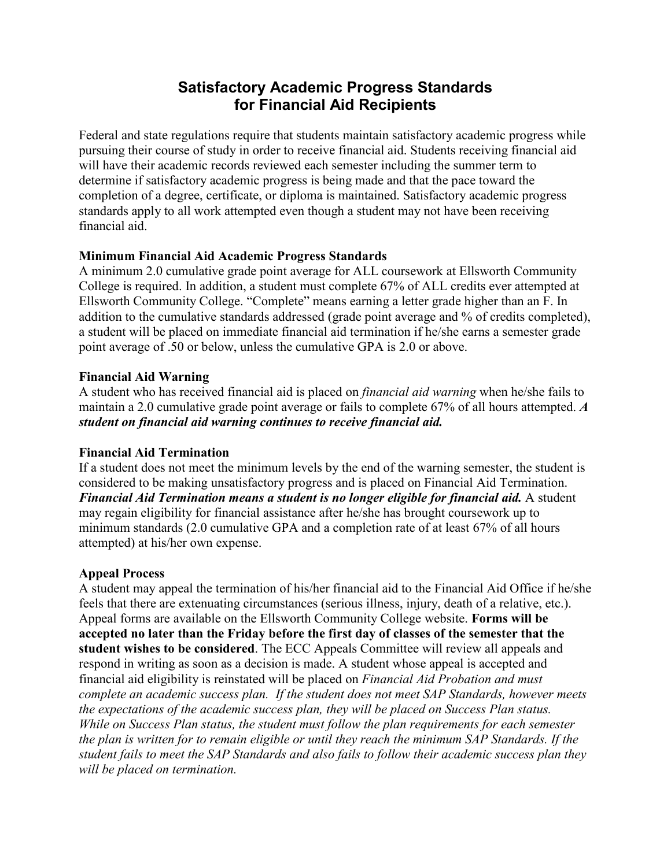# **Satisfactory Academic Progress Standards for Financial Aid Recipients**

Federal and state regulations require that students maintain satisfactory academic progress while pursuing their course of study in order to receive financial aid. Students receiving financial aid will have their academic records reviewed each semester including the summer term to determine if satisfactory academic progress is being made and that the pace toward the completion of a degree, certificate, or diploma is maintained. Satisfactory academic progress standards apply to all work attempted even though a student may not have been receiving financial aid.

## **Minimum Financial Aid Academic Progress Standards**

A minimum 2.0 cumulative grade point average for ALL coursework at Ellsworth Community College is required. In addition, a student must complete 67% of ALL credits ever attempted at Ellsworth Community College. "Complete" means earning a letter grade higher than an F. In addition to the cumulative standards addressed (grade point average and % of credits completed), a student will be placed on immediate financial aid termination if he/she earns a semester grade point average of .50 or below, unless the cumulative GPA is 2.0 or above.

### **Financial Aid Warning**

A student who has received financial aid is placed on *financial aid warning* when he/she fails to maintain a 2.0 cumulative grade point average or fails to complete 67% of all hours attempted. *A student on financial aid warning continues to receive financial aid.* 

### **Financial Aid Termination**

If a student does not meet the minimum levels by the end of the warning semester, the student is considered to be making unsatisfactory progress and is placed on Financial Aid Termination. *Financial Aid Termination means a student is no longer eligible for financial aid.* A student may regain eligibility for financial assistance after he/she has brought coursework up to minimum standards (2.0 cumulative GPA and a completion rate of at least 67% of all hours attempted) at his/her own expense.

### **Appeal Process**

A student may appeal the termination of his/her financial aid to the Financial Aid Office if he/she feels that there are extenuating circumstances (serious illness, injury, death of a relative, etc.). Appeal forms are available on the Ellsworth Community College website. **Forms will be accepted no later than the Friday before the first day of classes of the semester that the student wishes to be considered**. The ECC Appeals Committee will review all appeals and respond in writing as soon as a decision is made. A student whose appeal is accepted and financial aid eligibility is reinstated will be placed on *Financial Aid Probation and must complete an academic success plan. If the student does not meet SAP Standards, however meets the expectations of the academic success plan, they will be placed on Success Plan status. While on Success Plan status, the student must follow the plan requirements for each semester the plan is written for to remain eligible or until they reach the minimum SAP Standards. If the student fails to meet the SAP Standards and also fails to follow their academic success plan they will be placed on termination.*